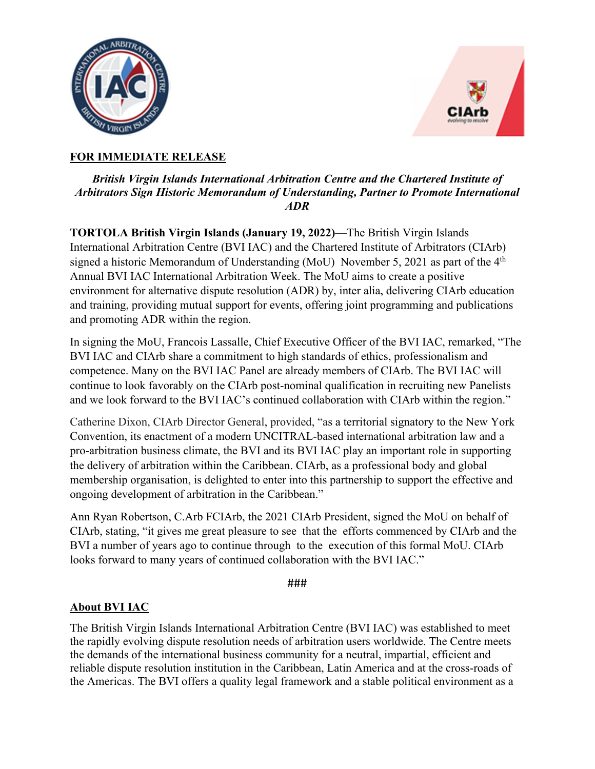



# **FOR IMMEDIATE RELEASE**

## *British Virgin Islands International Arbitration Centre and the Chartered Institute of Arbitrators Sign Historic Memorandum of Understanding, Partner to Promote International ADR*

**TORTOLA British Virgin Islands (January 19, 2022)**—The British Virgin Islands International Arbitration Centre (BVI IAC) and the Chartered Institute of Arbitrators (CIArb) signed a historic Memorandum of Understanding (MoU) November 5, 2021 as part of the 4<sup>th</sup> Annual BVI IAC International Arbitration Week. The MoU aims to create a positive environment for alternative dispute resolution (ADR) by, inter alia, delivering CIArb education and training, providing mutual support for events, offering joint programming and publications and promoting ADR within the region.

In signing the MoU, Francois Lassalle, Chief Executive Officer of the BVI IAC, remarked, "The BVI IAC and CIArb share a commitment to high standards of ethics, professionalism and competence. Many on the BVI IAC Panel are already members of CIArb. The BVI IAC will continue to look favorably on the CIArb post-nominal qualification in recruiting new Panelists and we look forward to the BVI IAC's continued collaboration with CIArb within the region."

Catherine Dixon, CIArb Director General, provided, "as a territorial signatory to the New York Convention, its enactment of a modern UNCITRAL-based international arbitration law and a pro-arbitration business climate, the BVI and its BVI IAC play an important role in supporting the delivery of arbitration within the Caribbean. CIArb, as a professional body and global membership organisation, is delighted to enter into this partnership to support the effective and ongoing development of arbitration in the Caribbean."

Ann Ryan Robertson, C.Arb FCIArb, the 2021 CIArb President, signed the MoU on behalf of CIArb, stating, "it gives me great pleasure to see that the efforts commenced by CIArb and the BVI a number of years ago to continue through to the execution of this formal MoU. CIArb looks forward to many years of continued collaboration with the BVI IAC."

#### ###

### **About BVI IAC**

The British Virgin Islands International Arbitration Centre (BVI IAC) was established to meet the rapidly evolving dispute resolution needs of arbitration users worldwide. The Centre meets the demands of the international business community for a neutral, impartial, efficient and reliable dispute resolution institution in the Caribbean, Latin America and at the cross-roads of the Americas. The BVI offers a quality legal framework and a stable political environment as a